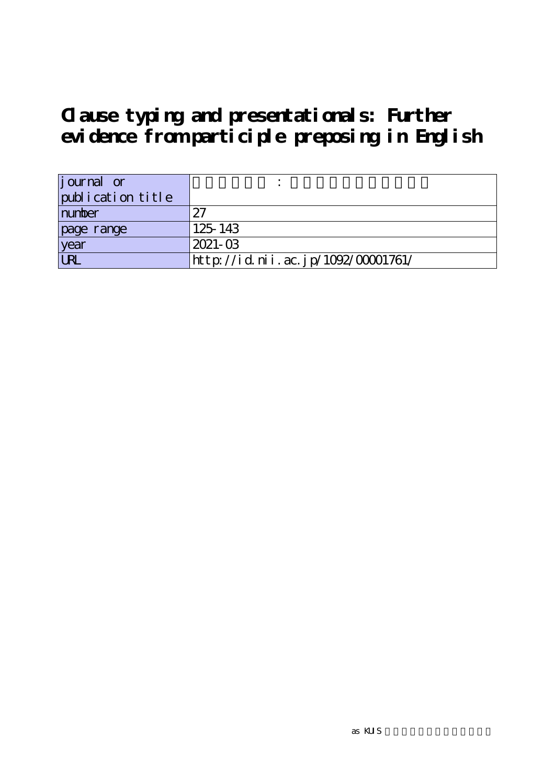| <i>j</i> ournal or |                                    |
|--------------------|------------------------------------|
| publication title  |                                    |
| number             | 97                                 |
| page range         | 125-143                            |
| year               | $2021 - 03$                        |
| <b>URL</b>         | http://id.nii.ac.jp/1092/00001761/ |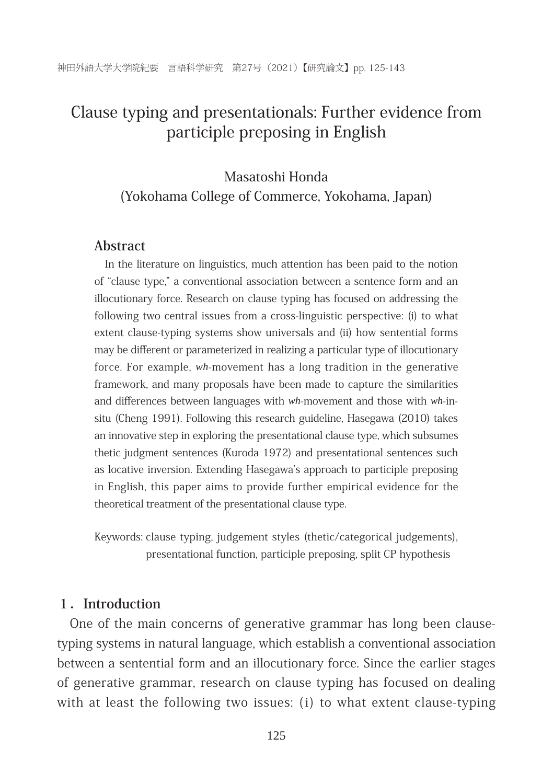## Masatoshi Honda (Yokohama College of Commerce, Yokohama, Japan)

#### **Abstract**

In the literature on linguistics, much attention has been paid to the notion of "clause type," a conventional association between a sentence form and an illocutionary force. Research on clause typing has focused on addressing the following two central issues from a cross-linguistic perspective: (i) to what extent clause-typing systems show universals and (ii) how sentential forms may be different or parameterized in realizing a particular type of illocutionary force. For example, wh-movement has a long tradition in the generative framework, and many proposals have been made to capture the similarities and differences between languages with  $wh$ -movement and those with  $wh$ -insitu (Cheng 1991). Following this research guideline, Hasegawa (2010) takes an innovative step in exploring the presentational clause type, which subsumes thetic judgment sentences (Kuroda 1972) and presentational sentences such as locative inversion. Extending Hasegawa's approach to participle preposing in English, this paper aims to provide further empirical evidence for the theoretical treatment of the presentational clause type.

Keywords: clause typing, judgement styles (thetic/categorical judgements), presentational function, participle preposing, split CP hypothesis

#### **1.Introduction**

One of the main concerns of generative grammar has long been clausetyping systems in natural language, which establish a conventional association between a sentential form and an illocutionary force. Since the earlier stages of generative grammar, research on clause typing has focused on dealing with at least the following two issues:  $(i)$  to what extent clause-typing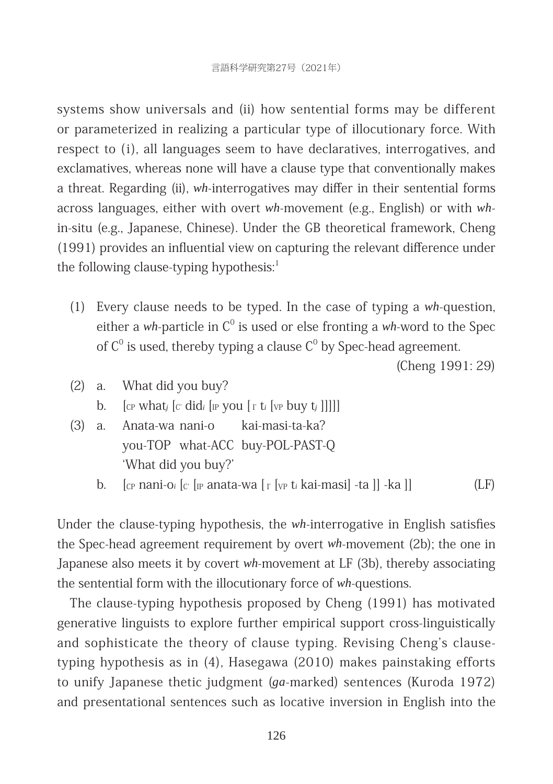systems show universals and (ii) how sentential forms may be different or parameterized in realizing a particular type of illocutionary force. With respect to (i), all languages seem to have declaratives, interrogatives, and exclamatives, whereas none will have a clause type that conventionally makes a threat. Regarding (ii), wh-interrogatives may differ in their sentential forms across languages, either with overt *wh*-movement (e.g., English) or with *wh*in-situ (e.g., Japanese, Chinese). Under the GB theoretical framework, Cheng (1991) provides an influential view on capturing the relevant difference under the following clause-typing hypothesis: $1$ 

(1) Every clause needs to be typed. In the case of typing a wh-question, either a *wh*-particle in  $C^0$  is used or else fronting a *wh*-word to the Spec of  $C^0$  is used, thereby typing a clause  $C^0$  by Spec-head agreement.

(Cheng 1991: 29)

- $(2)$  a. What did you buy? b.  $\int_{\mathbb{C}P}$  what<sub>*i*</sub>  $\int_{\mathbb{C}'}$  did<sub>*i*</sub>  $\int_{\mathbb{R}P}$  you  $\int_{\mathbb{C}'}$  t<sub>i</sub>  $\int_{\mathbb{V}P}$  buy t<sub>i</sub> []]]]
- (3) a. Anata-wa nani-o kai-masi-ta-ka? you-TOP what-ACC buy-POL-PAST-Q 'What did you buy?'
	- b.  $\int_{C}$  nani-o<sub>i</sub>  $\int_{C}$   $\int_{\mathbb{P}}$  anata-wa  $\int_{\mathbb{P}} \int_{V}$  t<sub>i</sub> kai-masil -ta ll -ka ll

Under the clause-typing hypothesis, the *wh*-interrogative in English satisfies the Spec-head agreement requirement by overt *wh*-movement (2b); the one in Japanese also meets it by covert *wh*-movement at LF (3b), thereby associating the sentential form with the illocutionary force of *wh*-questions.

The clause-typing hypothesis proposed by Cheng (1991) has motivated generative linguists to explore further empirical support cross-linguistically and sophisticate the theory of clause typing. Revising Cheng's clausetyping hypothesis as in  $(4)$ , Hasegawa  $(2010)$  makes painstaking efforts to unify Japanese thetic judgment (*ga*-marked) sentences (Kuroda 1972) and presentational sentences such as locative inversion in English into the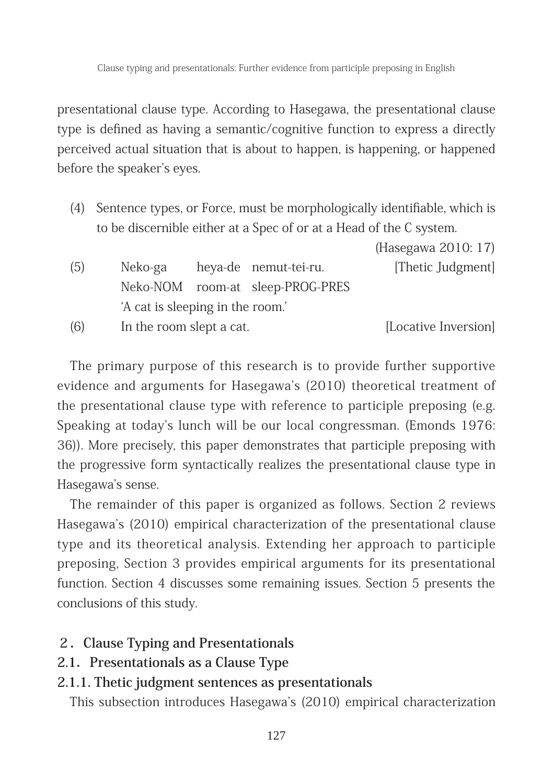presentational clause type. According to Hasegawa, the presentational clause type is defined as having a semantic/cognitive function to express a directly perceived actual situation that is about to happen, is happening, or happened before the speaker's eyes.

(4) Sentence types, or Force, must be morphologically identifiable, which is to be discernible either at a Spec of or at a Head of the C system.

|     |                                  |                                  | (Hasegawa 2010: 17)  |
|-----|----------------------------------|----------------------------------|----------------------|
| (5) | Neko-ga                          | heya-de nemut-tei-ru.            | [Thetic Judgment]    |
|     |                                  | Neko-NOM room-at sleep-PROG-PRES |                      |
|     | 'A cat is sleeping in the room.' |                                  |                      |
| (6) | In the room slept a cat.         |                                  | [Locative Inversion] |

The primary purpose of this research is to provide further supportive evidence and arguments for Hasegawa's (2010) theoretical treatment of the presentational clause type with reference to participle preposing (e.g. Speaking at today's lunch will be our local congressman. (Emonds 1976: 36)). More precisely, this paper demonstrates that participle preposing with the progressive form syntactically realizes the presentational clause type in Hasegawa's sense.

The remainder of this paper is organized as follows. Section 2 reviews Hasegawa's (2010) empirical characterization of the presentational clause type and its theoretical analysis. Extending her approach to participle preposing, Section 3 provides empirical arguments for its presentational function. Section 4 discusses some remaining issues. Section 5 presents the conclusions of this study.

## **2.Clause Typing and Presentationals**

**2.1.Presentationals as a Clause Type**

## **2.1.1. Thetic judgment sentences as presentationals**

This subsection introduces Hasegawa's (2010) empirical characterization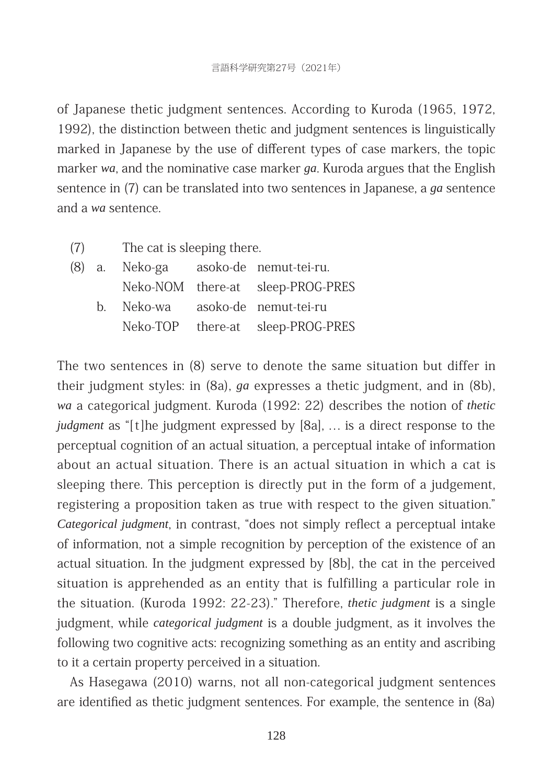of Japanese thetic judgment sentences. According to Kuroda (1965, 1972, 1992), the distinction between thetic and judgment sentences is linguistically marked in Japanese by the use of different types of case markers, the topic marker wa, and the nominative case marker *ga*. Kuroda argues that the English sentence in (7) can be translated into two sentences in Japanese, a *ga* sentence and a wa sentence.

(7) The cat is sleeping there.

|  |  | (8) a. Neko-ga asoko-de nemut-tei-ru. |
|--|--|---------------------------------------|
|  |  | Neko-NOM there-at sleep-PROG-PRES     |
|  |  | b. Neko-wa asoko-de nemut-tei-ru      |
|  |  | Neko-TOP there-at sleep-PROG-PRES     |

The two sentences in  $(8)$  serve to denote the same situation but differ in their judgment styles: in (8a), *ga* expresses a thetic judgment, and in (8b), *wa* a categorical judgment. Kuroda (1992: 22) describes the notion of *thetic judgment* as "[t]he judgment expressed by [8a], ... is a direct response to the perceptual cognition of an actual situation, a perceptual intake of information about an actual situation. There is an actual situation in which a cat is sleeping there. This perception is directly put in the form of a judgement, registering a proposition taken as true with respect to the given situation." *Categorical judgment*, in contrast, "does not simply reflect a perceptual intake of information, not a simple recognition by perception of the existence of an actual situation. In the judgment expressed by [8b], the cat in the perceived situation is apprehended as an entity that is fulfilling a particular role in the situation. (Kuroda 1992: 22-23)." Therefore, *thetic judgment* is a single judgment, while *categorical judgment* is a double judgment, as it involves the following two cognitive acts: recognizing something as an entity and ascribing to it a certain property perceived in a situation.

As Hasegawa (2010) warns, not all non-categorical judgment sentences are identified as thetic judgment sentences. For example, the sentence in (8a)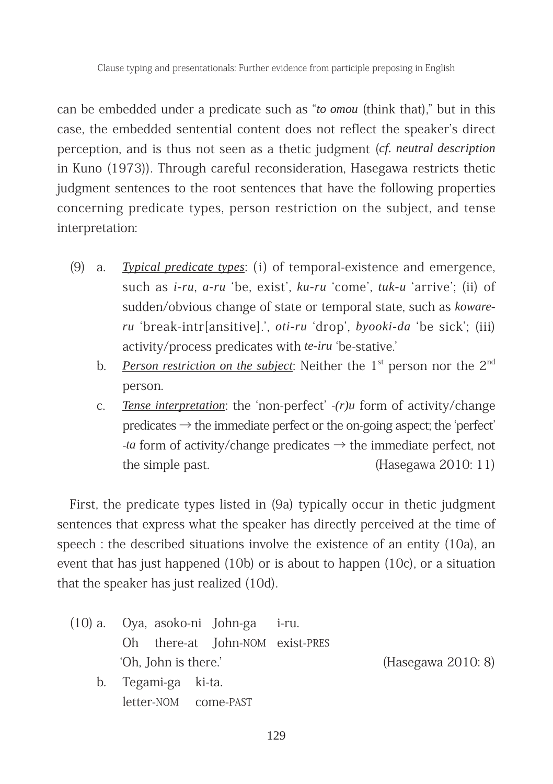can be embedded under a predicate such as "*to omou* (think that)," but in this case, the embedded sentential content does not reflect the speaker's direct perception, and is thus not seen as a thetic judgment (*cf. neutral description* in Kuno (1973)). Through careful reconsideration, Hasegawa restricts thetic judgment sentences to the root sentences that have the following properties concerning predicate types, person restriction on the subject, and tense interpretation:

- (9) a. *Typical predicate types*: (i) of temporal-existence and emergence, such as *i-ru*, *a-ru* 'be, exist', *ku-ru* 'come', *tuk-u* 'arrive'; (ii) of sudden/obvious change of state or temporal state, such as *kowareru* 'break-intr[ansitive].', *oti-ru* 'drop', *byooki-da* 'be sick'; (iii) activity/process predicates with *te-iru* 'be-stative.'
	- b. *Person restriction on the subject*: Neither the 1<sup>st</sup> person nor the 2<sup>nd</sup> person.
	- c. *Tense interpretation*: the 'non-perfect' -(*r*)*u* form of activity/change predicates  $\rightarrow$  the immediate perfect or the on-going aspect; the 'perfect'  $-ta$  form of activity/change predicates  $\rightarrow$  the immediate perfect, not the simple past.  $(Hasegawa 2010: 11)$

First, the predicate types listed in (9a) typically occur in thetic judgment sentences that express what the speaker has directly perceived at the time of speech : the described situations involve the existence of an entity  $(10a)$ , an event that has just happened  $(10b)$  or is about to happen  $(10c)$ , or a situation that the speaker has just realized (10d).

- (10) a. Oya, asoko-ni John-ga i-ru. Oh there-at John-NOM exist-PRES ʻOh, John is there.' (Hasegawa 2010: 8)
	- b. Tegami-ga ki-ta. letter-NOM come-PAST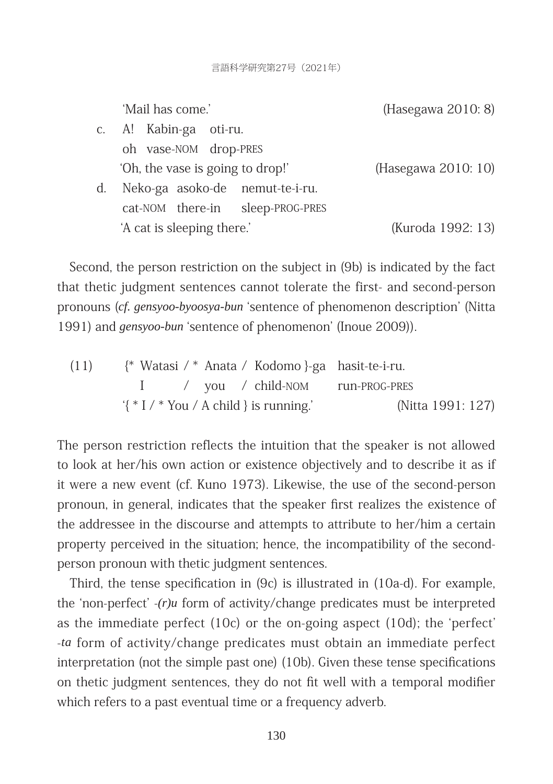言語科学研究第27号(2021年)

|    | 'Mail has come.'                 | (Hasegawa 2010: 8)  |
|----|----------------------------------|---------------------|
|    | c. A! Kabin-ga oti-ru.           |                     |
|    | oh vase-NOM drop-PRES            |                     |
|    | 'Oh, the vase is going to drop!' | (Hasegawa 2010: 10) |
| d. | Neko-ga asoko-de nemut-te-i-ru.  |                     |
|    | cat-NOM there-in sleep-PROG-PRES |                     |
|    | 'A cat is sleeping there.'       | (Kuroda 1992: 13)   |

Second, the person restriction on the subject in (9b) is indicated by the fact that thetic judgment sentences cannot tolerate the first- and second-person pronouns (cf. gensyoo-byoosya-bun 'sentence of phenomenon description' (Nitta 1991) and *gensyoo-bun* 'sentence of phenomenon' (Inoue 2009)).

(11) 
$$
\{\ast \text{ Watas } \text{ i } \ast \text{ Anata } \text{ Kodom } \}
$$
  $\ast$   $\ast$   $\ast$   $\ast$   $\ast$   $\ast$   $\ast$   $\ast$   $\ast$   $\ast$   $\ast$   $\ast$   $\ast$   $\ast$   $\ast$   $\ast$   $\ast$   $\ast$   $\ast$   $\ast$   $\ast$   $\ast$   $\ast$   $\ast$   $\ast$   $\ast$   $\ast$   $\ast$   $\ast$   $\ast$   $\ast$   $\ast$   $\ast$   $\ast$   $\ast$   $\ast$   $\ast$   $\ast$   $\ast$   $\ast$   $\ast$   $\ast$   $\ast$   $\ast$   $\ast$   $\ast$   $\ast$   $\ast$   $\ast$   $\ast$   $\ast$   $\ast$   $\ast$   $\ast$   $\ast$   $\ast$   $\ast$   $\ast$   $\ast$   $\ast$   $\ast$   $\ast$   $\ast$   $\ast$   $\ast$   $\ast$   $\ast$   $\ast$   $\ast$   $\ast$   $\ast$   $\ast$  <math display="</p>

The person restriction reflects the intuition that the speaker is not allowed to look at her/his own action or existence objectively and to describe it as if it were a new event (cf. Kuno 1973). Likewise, the use of the second-person pronoun, in general, indicates that the speaker first realizes the existence of the addressee in the discourse and attempts to attribute to her/him a certain property perceived in the situation; hence, the incompatibility of the secondperson pronoun with thetic judgment sentences.

Third, the tense specification in  $(9c)$  is illustrated in  $(10a-d)$ . For example, the 'non-perfect'  $-(r)u$  form of activity/change predicates must be interpreted as the immediate perfect  $(10c)$  or the on-going aspect  $(10d)$ ; the 'perfect' -ta form of activity/change predicates must obtain an immediate perfect interpretation (not the simple past one)  $(10b)$ . Given these tense specifications on thetic judgment sentences, they do not fit well with a temporal modifier which refers to a past eventual time or a frequency adverb.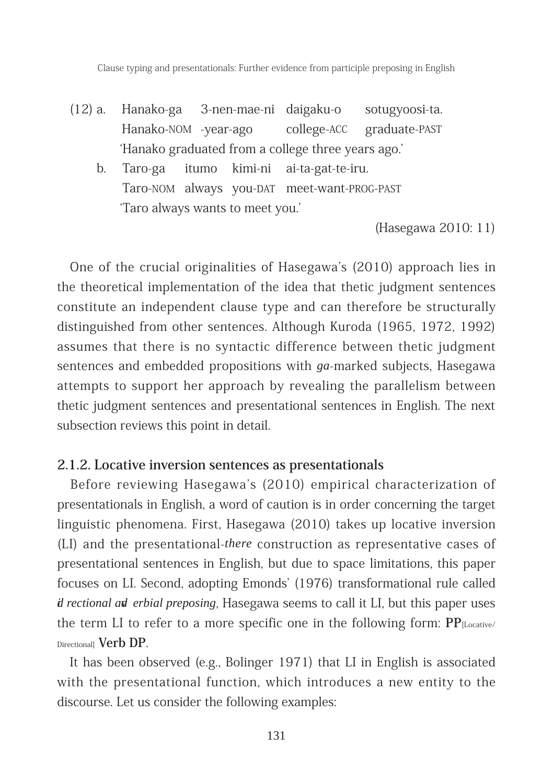- (12) a. Hanako-ga 3-nen-mae-ni daigaku-o sotugyoosi-ta. Hanako-NOM -year-ago college-ACC graduate-PAST ʻHanako graduated from a college three years ago.'
	- b. Taro-ga itumo kimi-ni ai-ta-gat-te-iru. Taro-NOM always you-DAT meet-want-PROG-PAST ʻTaro always wants to meet you.'

(Hasegawa 2010: 11)

One of the crucial originalities of Hasegawa's (2010) approach lies in the theoretical implementation of the idea that thetic judgment sentences constitute an independent clause type and can therefore be structurally distinguished from other sentences. Although Kuroda (1965, 1972, 1992) assumes that there is no syntactic difference between thetic judgment sentences and embedded propositions with *ga*-marked subjects, Hasegawa attempts to support her approach by revealing the parallelism between thetic judgment sentences and presentational sentences in English. The next subsection reviews this point in detail.

#### **2.1.2. Locative inversion sentences as presentationals**

Before reviewing Hasegawa's (2010) empirical characterization of presentationals in English, a word of caution is in order concerning the target linguistic phenomena. First, Hasegawa  $(2010)$  takes up locative inversion (LI) and the presentational-*there* construction as representative cases of presentational sentences in English, but due to space limitations, this paper focuses on LI. Second, adopting Emonds' (1976) transformational rule called *d rectional ad erbial preposing*, Hasegawa seems to call it LI, but this paper uses the term LI to refer to a more specific one in the following form:  $PP_{[Locative]}$ Directional] **Verb DP**. 

It has been observed (e.g., Bolinger  $1971$ ) that LI in English is associated with the presentational function, which introduces a new entity to the discourse. Let us consider the following examples: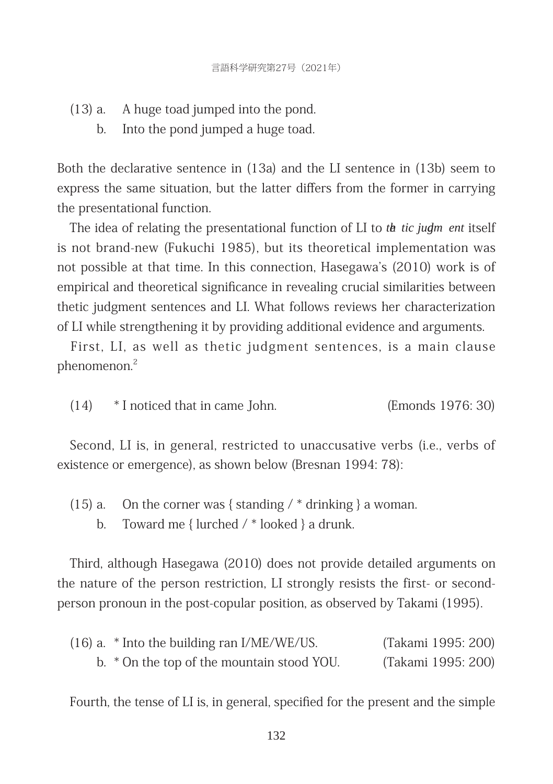- $(13)$  a. A huge toad jumped into the pond.
	- b. Into the pond jumped a huge toad.

Both the declarative sentence in  $(13a)$  and the LI sentence in  $(13b)$  seem to express the same situation, but the latter differs from the former in carrying the presentational function.

The idea of relating the presentational function of LI to *the tic judm ent* itself is not brand-new (Fukuchi 1985), but its theoretical implementation was not possible at that time. In this connection, Hasegawa's (2010) work is of empirical and theoretical significance in revealing crucial similarities between thetic judgment sentences and LI. What follows reviews her characterization of LI while strengthening it by providing additional evidence and arguments.

First, LI, as well as thetic judgment sentences, is a main clause phenomenon.2

(14)  $*$  I noticed that in came John. (Emonds 1976: 30)

Second, LI is, in general, restricted to unaccusative verbs (i.e., verbs of existence or emergence), as shown below (Bresnan 1994: 78):

- (15) a. On the corner was  $\{\text{standing } / * \text{ drinking }\}$  a woman.
	- b. Toward me  $\{$  lurched  $\}/\$ re looked  $\}$  a drunk.

Third, although Hasegawa (2010) does not provide detailed arguments on the nature of the person restriction, LI strongly resists the first- or secondperson pronoun in the post-copular position, as observed by Takami (1995).

| $(16)$ a. $*$ Into the building ran I/ME/WE/US. | (Takami 1995: 200) |
|-------------------------------------------------|--------------------|
| b. * On the top of the mountain stood YOU.      | (Takami 1995: 200) |

Fourth, the tense of LI is, in general, specified for the present and the simple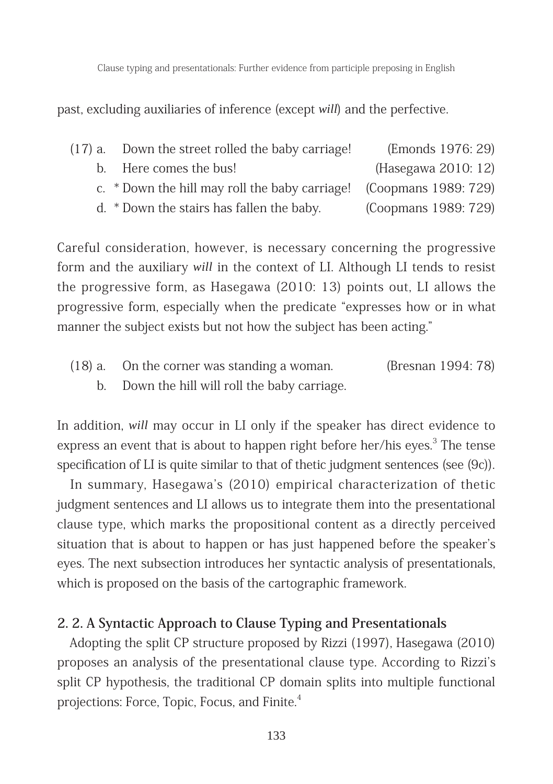past, excluding auxiliaries of inference (except *will*) and the perfective.

| (17) a. Down the street rolled the baby carriage! | (Emonds 1976: 29)                                  |
|---------------------------------------------------|----------------------------------------------------|
|                                                   | $(TI \qquad \qquad \cap \cap \cap \cap \cap \cap)$ |

- b. Here comes the bus! (Hasegawa 2010: 12)
- c. \* Down the hill may roll the baby carriage! (Coopmans 1989: 729)
- d.  $*$  Down the stairs has fallen the baby. (Coopmans 1989: 729)

Careful consideration, however, is necessary concerning the progressive form and the auxiliary *will* in the context of LI. Although LI tends to resist the progressive form, as Hasegawa  $(2010: 13)$  points out, LI allows the progressive form, especially when the predicate "expresses how or in what manner the subject exists but not how the subject has been acting."

 $(18)$  a. On the corner was standing a woman. (Bresnan 1994: 78) b. Down the hill will roll the baby carriage.

In addition, *will* may occur in LI only if the speaker has direct evidence to express an event that is about to happen right before her/his eyes.<sup>3</sup> The tense specification of LI is quite similar to that of thetic judgment sentences (see  $(9c)$ ).

In summary, Hasegawa's (2010) empirical characterization of thetic judgment sentences and LI allows us to integrate them into the presentational clause type, which marks the propositional content as a directly perceived situation that is about to happen or has just happened before the speaker's eyes. The next subsection introduces her syntactic analysis of presentationals, which is proposed on the basis of the cartographic framework.

#### **2. 2. A Syntactic Approach to Clause Typing and Presentationals**

Adopting the split CP structure proposed by Rizzi (1997), Hasegawa (2010) proposes an analysis of the presentational clause type. According to Rizzi's split CP hypothesis, the traditional CP domain splits into multiple functional projections: Force, Topic, Focus, and Finite.<sup>4</sup>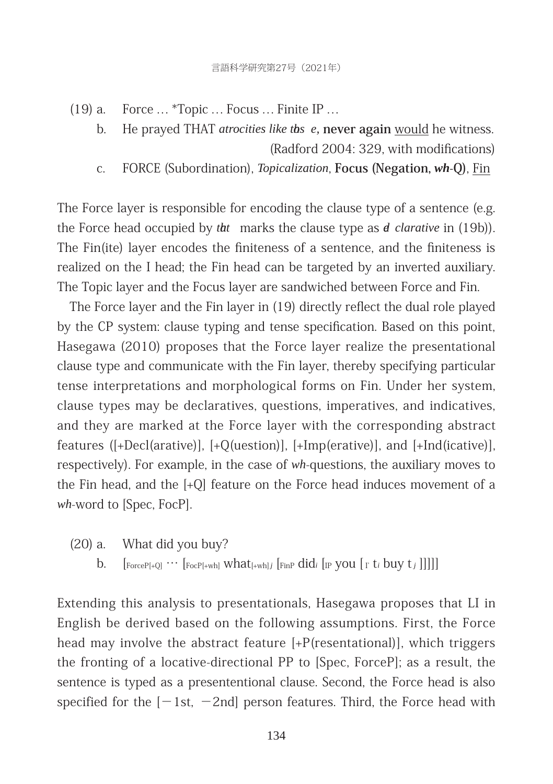$(19)$  a. Force ... \*Topic ... Focus ... Finite IP ...

- b. He prayed THAT *atrocities like ths e*, **never again** would he witness. (Radford 2004: 329, with modifications)
- c. FORCE (Subordination), *Topicalization*, **Focus (Negation,** *wh***-Q)**, Fin

The Force layer is responsible for encoding the clause type of a sentence (e.g. the Force head occupied by *tht* marks the clause type as *d clarative* in (19b)). The Fin(ite) layer encodes the finiteness of a sentence, and the finiteness is realized on the I head; the Fin head can be targeted by an inverted auxiliary. The Topic layer and the Focus layer are sandwiched between Force and Fin.

The Force layer and the Fin layer in (19) directly reflect the dual role played by the CP system: clause typing and tense specification. Based on this point, Hasegawa (2010) proposes that the Force layer realize the presentational clause type and communicate with the Fin layer, thereby specifying particular tense interpretations and morphological forms on Fin. Under her system, clause types may be declaratives, questions, imperatives, and indicatives, and they are marked at the Force layer with the corresponding abstract features ([+Decl(arative)], [+Q(uestion)], [+Imp(erative)], and [+Ind(icative)], respectively). For example, in the case of  $wh$ -questions, the auxiliary moves to the Fin head, and the  $[+O]$  feature on the Force head induces movement of a *wh*-word to [Spec, FocP].

- $(20)$  a. What did you buy?
	- b.  $\left[\text{ForceP[+Q]} \cdots \left[\text{FocP[+wh]} \text{What}[\text{+wh}] \text{ } \text{Final} \text{ } \text{and} \text{ } \text{ } \text{[IP} \text{ you } \left[ \text{r} \text{ t} \text{ i buy} \text{ t} \text{ } \right] \right]\right]\right]$

Extending this analysis to presentationals, Hasegawa proposes that LI in English be derived based on the following assumptions. First, the Force head may involve the abstract feature  $[+P$ (resentational)], which triggers the fronting of a locative-directional PP to [Spec, ForceP]; as a result, the sentence is typed as a presententional clause. Second, the Force head is also specified for the  $[-1st, -2nd]$  person features. Third, the Force head with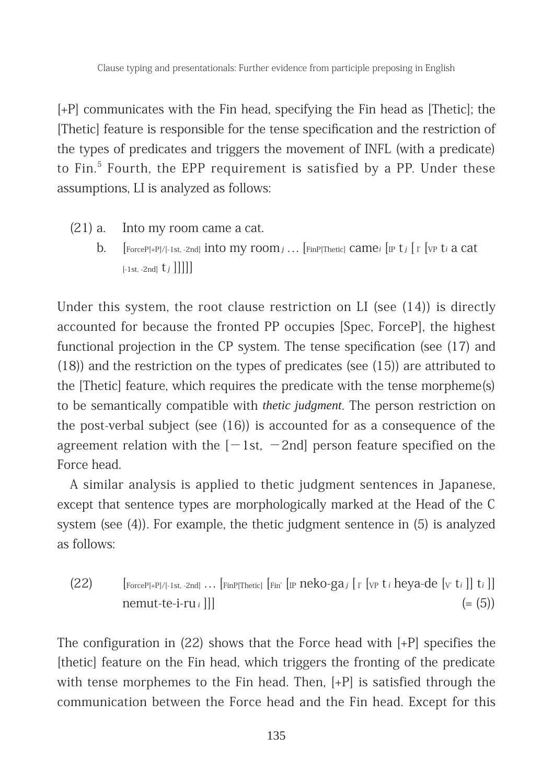[+P] communicates with the Fin head, specifying the Fin head as [Thetic]; the [Thetic] feature is responsible for the tense specification and the restriction of the types of predicates and triggers the movement of INFL (with a predicate) to Fin. $^5$  Fourth, the EPP requirement is satisfied by a PP. Under these assumptions, LI is analyzed as follows:

- $(21)$  a. Into my room came a cat.
	- b.  $\int$  [ForceP[+P]/[-1st, -2nd] into my room *i* ... [FinP[Thetic] came*i* [IP t<sub>*i*</sub> [I' [vp t*i* a cat  $[-1st, -2nd]$   $t_j$  ]]]]]

Under this system, the root clause restriction on LI (see  $(14)$ ) is directly accounted for because the fronted PP occupies [Spec, ForceP], the highest functional projection in the CP system. The tense specification (see  $(17)$  and (18)) and the restriction on the types of predicates (see  $(15)$ ) are attributed to the [Thetic] feature, which requires the predicate with the tense morpheme(s) to be semantically compatible with *thetic judgment*. The person restriction on the post-verbal subject (see  $(16)$ ) is accounted for as a consequence of the agreement relation with the  $[-1st, -2nd]$  person feature specified on the Force head.

A similar analysis is applied to thetic judgment sentences in Japanese, except that sentence types are morphologically marked at the Head of the C system (see  $(4)$ ). For example, the thetic judgment sentence in  $(5)$  is analyzed as follows:

 $(22)$  [ForceP[+P]/[-1st, -2nd] ... [FinP[Thetic] [Fin' [IP  $\frac{1}{2}$  [CP  $\frac{1}{2}$  [VP  $\frac{1}{2}$  *i* heya-de [v'  $\frac{1}{2}$ ]  $\frac{1}{2}$  i]  $n$ emut-te-i-ru*i* []]  $(=(5))$ 

The configuration in  $(22)$  shows that the Force head with  $[+P]$  specifies the [thetic] feature on the Fin head, which triggers the fronting of the predicate with tense morphemes to the Fin head. Then,  $[+P]$  is satisfied through the communication between the Force head and the Fin head. Except for this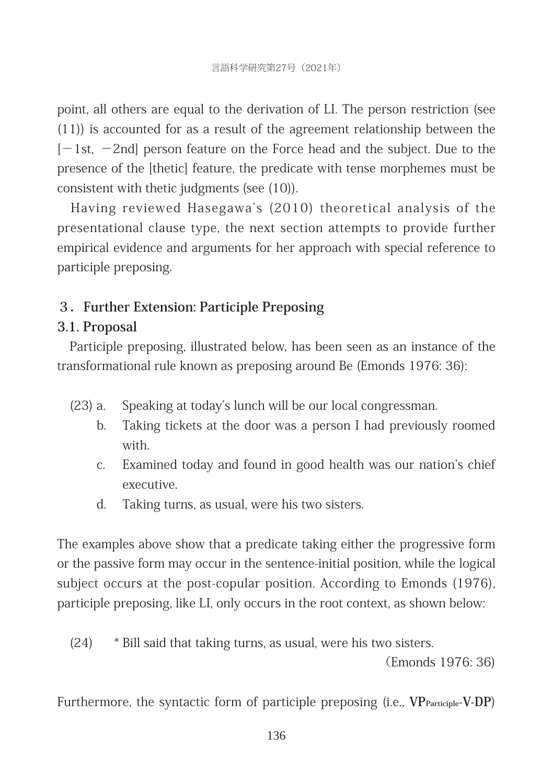point, all others are equal to the derivation of LI. The person restriction (see  $(11)$ ) is accounted for as a result of the agreement relationship between the  $[-1$ st,  $-2$ nd person feature on the Force head and the subject. Due to the presence of the [thetic] feature, the predicate with tense morphemes must be consistent with thetic judgments (see (10)).

Having reviewed Hasegawa's (2010) theoretical analysis of the presentational clause type, the next section attempts to provide further empirical evidence and arguments for her approach with special reference to participle preposing.

## **3.Further Extension: Participle Preposing**

## **3.1. Proposal**

Participle preposing, illustrated below, has been seen as an instance of the transformational rule known as preposing around Be (Emonds 1976: 36):

- (23) a. Speaking at today's lunch will be our local congressman.
	- b. Taking tickets at the door was a person I had previously roomed with.
	- c. Examined today and found in good health was our nation's chief executive.
	- d. Taking turns, as usual, were his two sisters.

The examples above show that a predicate taking either the progressive form or the passive form may occur in the sentence-initial position, while the logical subject occurs at the post-copular position. According to Emonds (1976), participle preposing, like LI, only occurs in the root context, as shown below:

 $(24)$  \* Bill said that taking turns, as usual, were his two sisters.

(Emonds 1976: 36)

Furthermore, the syntactic form of participle preposing (i.e., VP<sub>Participle</sub>-V-DP)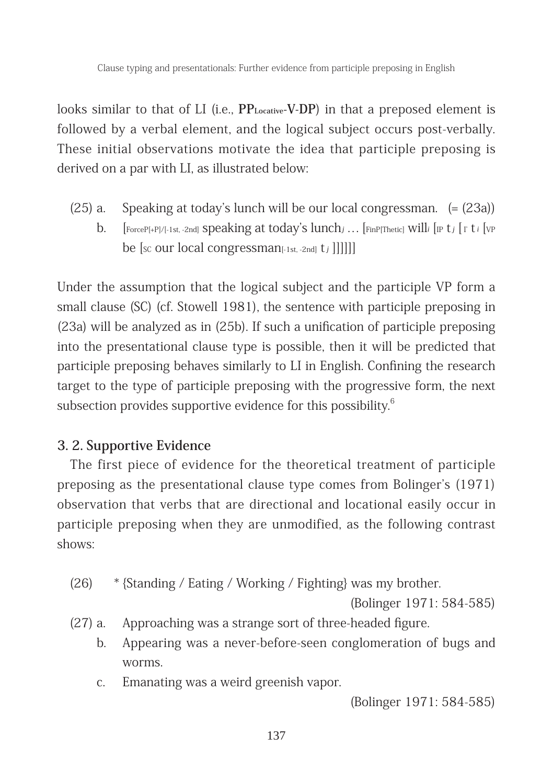looks similar to that of LI (i.e., PP<sub>Locative</sub>-V-DP) in that a preposed element is followed by a verbal element, and the logical subject occurs post-verbally. These initial observations motivate the idea that participle preposing is derived on a par with LI, as illustrated below:

(25) a. Speaking at today's lunch will be our local congressman.  $(=(23a))$ b. [ForceP[+P]/[-1st, -2nd] **Speaking at today's**  $lunch_j$ ... [FinP[Thetic] Will<sub>i</sub> [IP t<sub>j</sub> [ I' t<sub>i</sub> [vp be [sc our local congressman<sub>[-1st, -2nd]</sub> t<sub>j</sub> ]]]]]]

Under the assumption that the logical subject and the participle VP form a small clause  $(SC)$  (cf. Stowell 1981), the sentence with participle preposing in  $(23a)$  will be analyzed as in  $(25b)$ . If such a unification of participle preposing into the presentational clause type is possible, then it will be predicted that participle preposing behaves similarly to LI in English. Confining the research target to the type of participle preposing with the progressive form, the next subsection provides supportive evidence for this possibility. $6$ 

### **3. 2. Supportive Evidence**

The first piece of evidence for the theoretical treatment of participle preposing as the presentational clause type comes from Bolinger's  $(1971)$ observation that verbs that are directional and locational easily occur in participle preposing when they are unmodified, as the following contrast shows:

(26)  $*$  {Standing / Eating / Working / Fighting} was my brother.

(Bolinger 1971: 584-585)

- (27) a. Approaching was a strange sort of three-headed figure.
	- b. Appearing was a never-before-seen conglomeration of bugs and worms.
	- c. Emanating was a weird greenish vapor.

(Bolinger 1971: 584-585)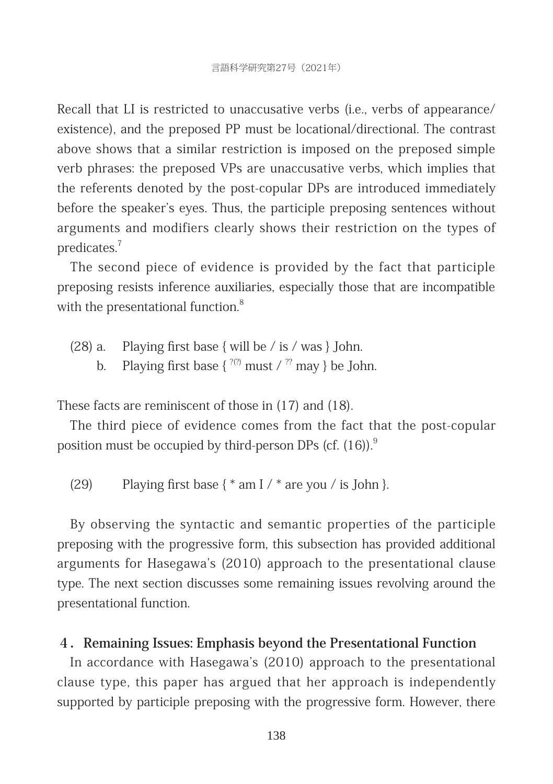Recall that LI is restricted to unaccusative verbs (i.e., verbs of appearance/ existence), and the preposed PP must be locational/directional. The contrast above shows that a similar restriction is imposed on the preposed simple verb phrases: the preposed VPs are unaccusative verbs, which implies that the referents denoted by the post-copular DPs are introduced immediately before the speaker's eyes. Thus, the participle preposing sentences without arguments and modifiers clearly shows their restriction on the types of predicates.7

The second piece of evidence is provided by the fact that participle preposing resists inference auxiliaries, especially those that are incompatible with the presentational function.<sup>8</sup>

- (28) a. Playing first base  $\{$  will be  $\}$  is  $\}/$  was  $\}$  John.
	- b. Playing first base  $\{^{2(2)} \text{ must } / {}^{22} \text{ may } \}$  be John.

These facts are reminiscent of those in  $(17)$  and  $(18)$ .

The third piece of evidence comes from the fact that the post-copular position must be occupied by third-person DPs (cf.  $(16)$ ).<sup>9</sup>

(29) Playing first base  $\{\ast$  am I  $\}/\ast$  are you  $\}/$  is John  $\}$ .

By observing the syntactic and semantic properties of the participle preposing with the progressive form, this subsection has provided additional arguments for Hasegawa's (2010) approach to the presentational clause type. The next section discusses some remaining issues revolving around the presentational function.

## **4.Remaining Issues: Emphasis beyond the Presentational Function**

In accordance with Hasegawa's (2010) approach to the presentational clause type, this paper has argued that her approach is independently supported by participle preposing with the progressive form. However, there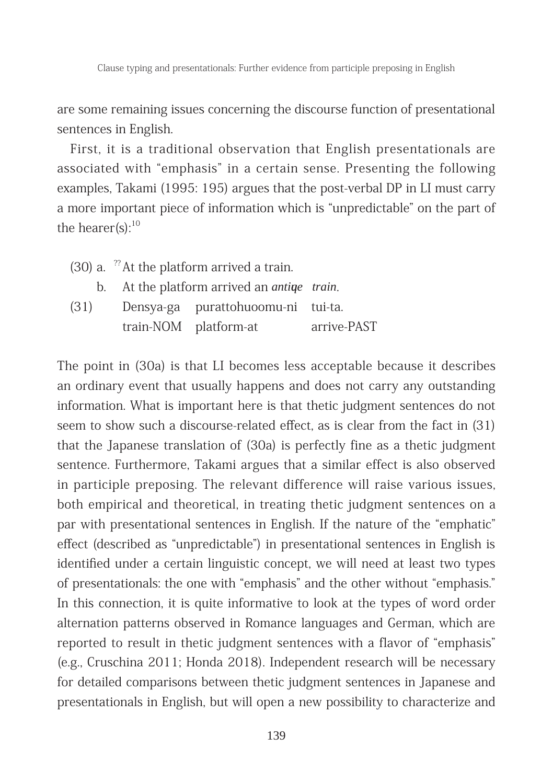are some remaining issues concerning the discourse function of presentational sentences in English.

First, it is a traditional observation that English presentationals are associated with "emphasis" in a certain sense. Presenting the following examples, Takami (1995: 195) argues that the post-verbal DP in LI must carry a more important piece of information which is "unpredictable" on the part of the hearer(s): $10$ 

|      | $(30)$ a. <sup>22</sup> At the platform arrived a train. |                                    |             |
|------|----------------------------------------------------------|------------------------------------|-------------|
|      | b. At the platform arrived an <i>anting train</i> .      |                                    |             |
| (31) |                                                          | Densya-ga purattohuoomu-ni tui-ta. |             |
|      |                                                          | train-NOM platform-at              | arrive-PAST |

The point in (30a) is that LI becomes less acceptable because it describes an ordinary event that usually happens and does not carry any outstanding information. What is important here is that thetic judgment sentences do not seem to show such a discourse-related effect, as is clear from the fact in (31) that the Japanese translation of  $(30a)$  is perfectly fine as a thetic judgment sentence. Furthermore, Takami argues that a similar effect is also observed in participle preposing. The relevant difference will raise various issues, both empirical and theoretical, in treating thetic judgment sentences on a par with presentational sentences in English. If the nature of the "emphatic" effect (described as "unpredictable") in presentational sentences in English is identified under a certain linguistic concept, we will need at least two types of presentationals: the one with "emphasis" and the other without "emphasis." In this connection, it is quite informative to look at the types of word order alternation patterns observed in Romance languages and German, which are reported to result in thetic judgment sentences with a flavor of "emphasis" (e.g., Cruschina 2011; Honda 2018). Independent research will be necessary for detailed comparisons between thetic judgment sentences in Japanese and presentationals in English, but will open a new possibility to characterize and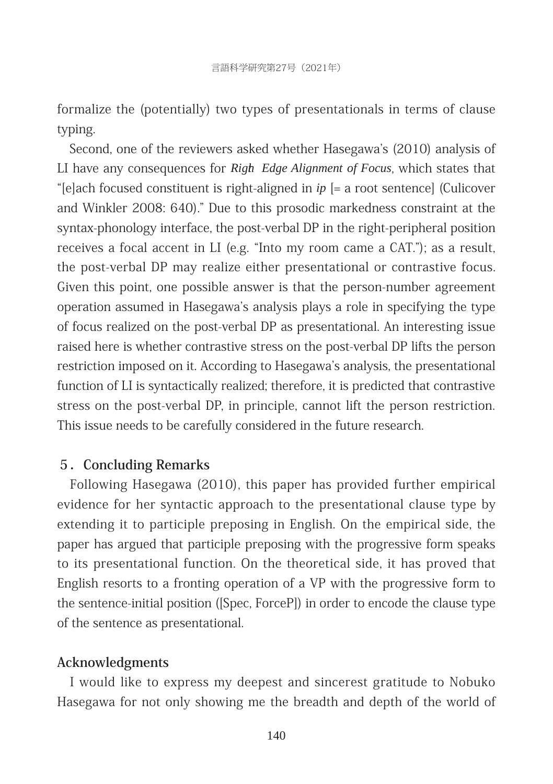formalize the (potentially) two types of presentationals in terms of clause typing.

Second, one of the reviewers asked whether Hasegawa's (2010) analysis of LI have any consequences for *Righ Edge Alignment of Focus*, which states that "[e]ach focused constituent is right-aligned in  $ip$  [= a root sentence] (Culicover and Winkler 2008: 640)." Due to this prosodic markedness constraint at the syntax-phonology interface, the post-verbal DP in the right-peripheral position receives a focal accent in LI (e.g. "Into my room came a CAT."); as a result, the post-verbal DP may realize either presentational or contrastive focus. Given this point, one possible answer is that the person-number agreement operation assumed in Hasegawa's analysis plays a role in specifying the type of focus realized on the post-verbal DP as presentational. An interesting issue raised here is whether contrastive stress on the post-verbal DP lifts the person restriction imposed on it. According to Hasegawa's analysis, the presentational function of LI is syntactically realized; therefore, it is predicted that contrastive stress on the post-verbal DP, in principle, cannot lift the person restriction. This issue needs to be carefully considered in the future research.

#### **5.Concluding Remarks**

Following Hasegawa (2010), this paper has provided further empirical evidence for her syntactic approach to the presentational clause type by extending it to participle preposing in English. On the empirical side, the paper has argued that participle preposing with the progressive form speaks to its presentational function. On the theoretical side, it has proved that English resorts to a fronting operation of a VP with the progressive form to the sentence-initial position ([Spec, ForceP]) in order to encode the clause type of the sentence as presentational.

#### **Acknowledgments**

I would like to express my deepest and sincerest gratitude to Nobuko Hasegawa for not only showing me the breadth and depth of the world of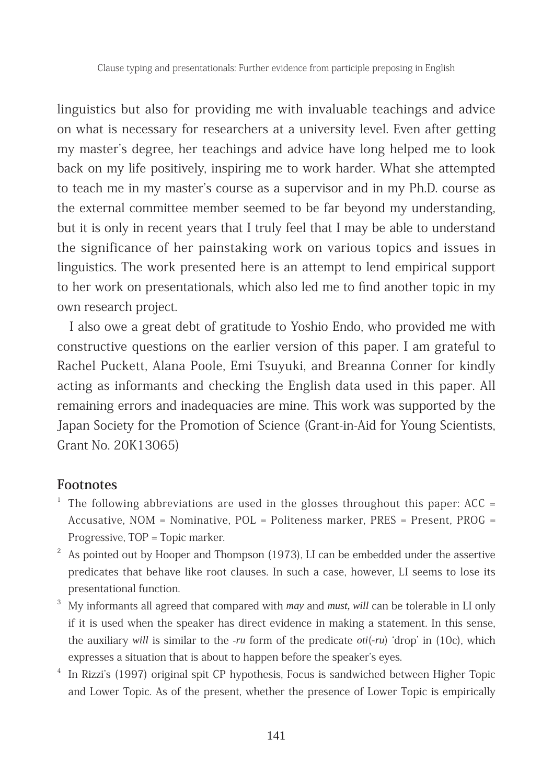linguistics but also for providing me with invaluable teachings and advice on what is necessary for researchers at a university level. Even after getting my master's degree, her teachings and advice have long helped me to look back on my life positively, inspiring me to work harder. What she attempted to teach me in my master's course as a supervisor and in my Ph.D. course as the external committee member seemed to be far beyond my understanding, but it is only in recent years that I truly feel that I may be able to understand the significance of her painstaking work on various topics and issues in linguistics. The work presented here is an attempt to lend empirical support to her work on presentationals, which also led me to find another topic in my own research project.

I also owe a great debt of gratitude to Yoshio Endo, who provided me with constructive questions on the earlier version of this paper. I am grateful to Rachel Puckett, Alana Poole, Emi Tsuyuki, and Breanna Conner for kindly acting as informants and checking the English data used in this paper. All remaining errors and inadequacies are mine. This work was supported by the Japan Society for the Promotion of Science (Grant-in-Aid for Young Scientists, Grant No. 20K13065)

#### **Footnotes**

- The following abbreviations are used in the glosses throughout this paper:  $ACC =$ Accusative,  $NOM = N$ ominative,  $POL =$  Politeness marker, PRES = Present, PROG = Progressive,  $TOP = Topic$  marker.
- $2^2$  As pointed out by Hooper and Thompson (1973), LI can be embedded under the assertive predicates that behave like root clauses. In such a case, however, LI seems to lose its presentational function.
- 3 My informants all agreed that compared with *may* and *must, will* can be tolerable in LI only if it is used when the speaker has direct evidence in making a statement. In this sense, the auxiliary *will* is similar to the *-ru* form of the predicate *oti*(*-ru*) 'drop' in (10c), which expresses a situation that is about to happen before the speaker's eyes.
- <sup>4</sup> In Rizzi's (1997) original spit CP hypothesis, Focus is sandwiched between Higher Topic and Lower Topic. As of the present, whether the presence of Lower Topic is empirically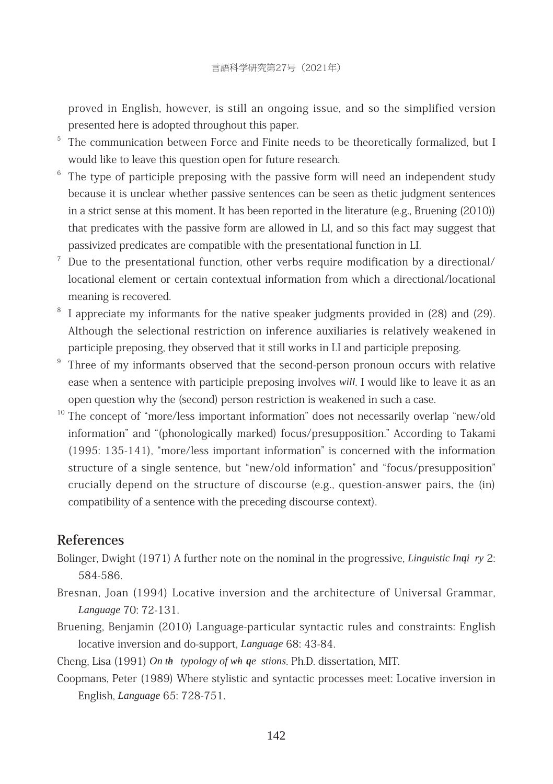proved in English, however, is still an ongoing issue, and so the simplified version presented here is adopted throughout this paper.

- <sup>5</sup> The communication between Force and Finite needs to be theoretically formalized, but I would like to leave this question open for future research.
- $6$  The type of participle preposing with the passive form will need an independent study because it is unclear whether passive sentences can be seen as thetic judgment sentences in a strict sense at this moment. It has been reported in the literature  $(e.g., Bruening (2010))$ that predicates with the passive form are allowed in LI, and so this fact may suggest that passivized predicates are compatible with the presentational function in LI.
- $\frac{7}{1}$  Due to the presentational function, other verbs require modification by a directional/ locational element or certain contextual information from which a directional/locational meaning is recovered.
- I appreciate my informants for the native speaker judgments provided in (28) and (29). Although the selectional restriction on inference auxiliaries is relatively weakened in participle preposing, they observed that it still works in LI and participle preposing.
- $9$  Three of my informants observed that the second-person pronoun occurs with relative ease when a sentence with participle preposing involves *will*. I would like to leave it as an open question why the (second) person restriction is weakened in such a case.
- <sup>10</sup> The concept of "more/less important information" does not necessarily overlap "new/old information" and "(phonologically marked) focus/presupposition." According to Takami  $(1995: 135-141)$ , "more/less important information" is concerned with the information structure of a single sentence, but "new/old information" and "focus/presupposition" crucially depend on the structure of discourse  $(e.g., question-answer \text{ pairs, the (in)}$ compatibility of a sentence with the preceding discourse context).

#### **References**

- Bolinger, Dwight (1971) A further note on the nominal in the progressive, *Linguistic Inqi ry* 2: 584-586.
- Bresnan, Joan (1994) Locative inversion and the architecture of Universal Grammar, *L anguage* 70: 72-131.
- Bruening, Benjamin (2010) Language-particular syntactic rules and constraints: English locative inversion and do-support, *Language* 68: 43-84.
- Cheng, Lisa (1991) *On the typology of whaue* stions. Ph.D. dissertation, MIT.
- Coopmans, Peter (1989) Where stylistic and syntactic processes meet: Locative inversion in English, *L anguage* 65: 728-751.